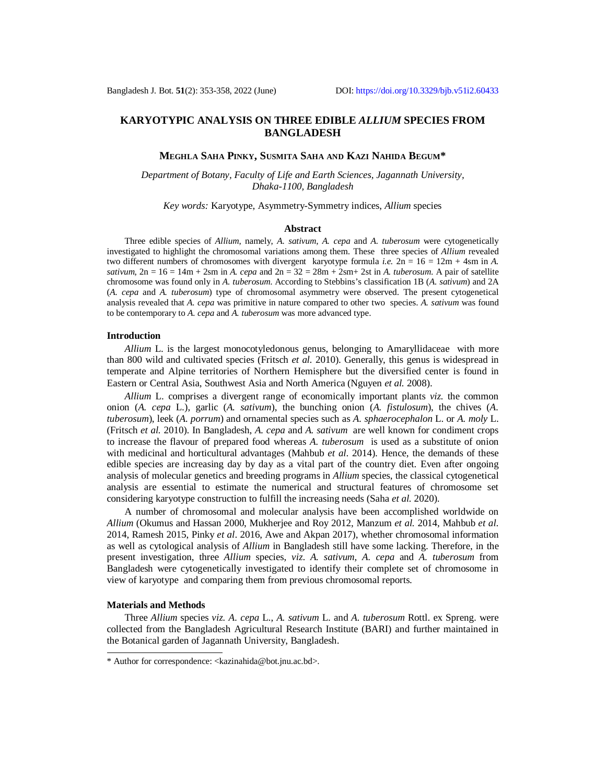# **KARYOTYPIC ANALYSIS ON THREE EDIBLE** *ALLIUM* **SPECIES FROM BANGLADESH**

#### **MEGHLA SAHA PINKY, SUSMITA SAHA AND KAZI NAHIDA BEGUM\***

*Department of Botany, Faculty of Life and Earth Sciences, Jagannath University, Dhaka-1100, Bangladesh*

*Key words:* Karyotype, Asymmetry-Symmetry indices, *Allium* species

#### **Abstract**

Three edible species of *Allium*, namely, *A. sativum*, *A. cepa* and *A. tuberosum* were cytogenetically investigated to highlight the chromosomal variations among them. These three species of *Allium* revealed two different numbers of chromosomes with divergent karyotype formula *i.e.*  $2n = 16 = 12m + 4sm$  in *A*. *sativum*,  $2n = 16 = 14m + 2sm$  in *A. cepa* and  $2n = 32 = 28m + 2sm + 2st$  in *A. tuberosum*. A pair of satellite chromosome was found only in *A. tuberosum*. According to Stebbins's classification 1B (*A. sativum*) and 2A (*A. cepa* and *A. tuberosum*) type of chromosomal asymmetry were observed. The present cytogenetical analysis revealed that *A. cepa* was primitive in nature compared to other two species. *A. sativum* was found to be contemporary to *A. cepa* and *A. tuberosum* was more advanced type.

# **Introduction**

*Allium* L. is the largest monocotyledonous genus, belonging to Amaryllidaceae with more than 800 wild and cultivated species (Fritsch *et al.* 2010). Generally, this genus is widespread in temperate and Alpine territories of Northern Hemisphere but the diversified center is found in Eastern or Central Asia, Southwest Asia and North America (Nguyen *et al.* 2008).

*Allium* L. comprises a divergent range of economically important plants *viz.* the common onion (*A. cepa* L.), garlic (*A. sativum*), the bunching onion (*A. fistulosum*), the chives (*A. tuberosum*), leek (*A. porrum*) and ornamental species such as *A. sphaerocephalon* L. or *A. moly* L. (Fritsch *et al.* 2010). In Bangladesh, *A. cepa* and *A. sativum* are well known for condiment crops to increase the flavour of prepared food whereas *A. tuberosum* is used as a substitute of onion with medicinal and horticultural advantages (Mahbub *et al*. 2014). Hence, the demands of these edible species are increasing day by day as a vital part of the country diet. Even after ongoing analysis of molecular genetics and breeding programs in *Allium* species, the classical cytogenetical analysis are essential to estimate the numerical and structural features of chromosome set considering karyotype construction to fulfill the increasing needs (Saha *et al.* 2020).

A number of chromosomal and molecular analysis have been accomplished worldwide on *Allium* (Okumus and Hassan 2000, Mukherjee and Roy 2012, Manzum *et al.* 2014, Mahbub *et al*. 2014, Ramesh 2015, Pinky *et al*. 2016, Awe and Akpan 2017), whether chromosomal information as well as cytological analysis of *Allium* in Bangladesh still have some lacking. Therefore, in the present investigation, three *Allium* species, *viz*. *A. sativum*, *A. cepa* and *A. tuberosum* from Bangladesh were cytogenetically investigated to identify their complete set of chromosome in view of karyotype and comparing them from previous chromosomal reports.

# **Materials and Methods**

Three *Allium* species *viz. A. cepa* L., *A. sativum* L. and *A. tuberosum* Rottl. ex Spreng. were collected from the Bangladesh Agricultural Research Institute (BARI) and further maintained in the Botanical garden of Jagannath University, Bangladesh.

<sup>\*</sup> Author for correspondence: <[kazinahida@bot.jnu.ac.bd>](mailto:kazinahida@bot.jnu.ac.bd).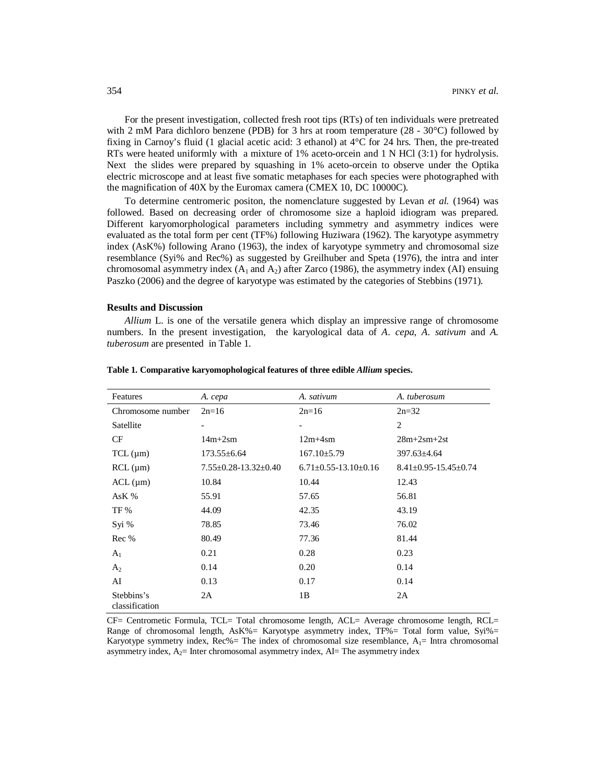For the present investigation, collected fresh root tips (RTs) of ten individuals were pretreated with 2 mM Para dichloro benzene (PDB) for 3 hrs at room temperature ( $28 - 30^{\circ}$ C) followed by fixing in Carnoy's fluid (1 glacial acetic acid: 3 ethanol) at 4°C for 24 hrs. Then, the pre-treated RTs were heated uniformly with a mixture of 1% aceto-orcein and 1 N HCl (3:1) for hydrolysis. Next the slides were prepared by squashing in 1% aceto-orcein to observe under the Optika electric microscope and at least five somatic metaphases for each species were photographed with the magnification of 40X by the Euromax camera (CMEX 10, DC 10000C).

To determine centromeric positon, the nomenclature suggested by Levan *et al.* (1964) was followed. Based on decreasing order of chromosome size a haploid idiogram was prepared. Different karyomorphological parameters including symmetry and asymmetry indices were evaluated as the total form per cent (TF%) following Huziwara (1962). The karyotype asymmetry index (AsK%) following Arano (1963), the index of karyotype symmetry and chromosomal size resemblance (Syi% and Rec%) as suggested by Greilhuber and Speta (1976), the intra and inter chromosomal asymmetry index  $(A_1 \text{ and } A_2)$  after Zarco (1986), the asymmetry index (AI) ensuing Paszko (2006) and the degree of karyotype was estimated by the categories of Stebbins (1971).

# **Results and Discussion**

*Allium* L. is one of the versatile genera which display an impressive range of chromosome numbers. In the present investigation, the karyological data of *A*. *cepa*, *A*. *sativum* and *A. tuberosum* are presented in Table 1.

| Features                     | A. cepa                          | A. sativum                       | A. tuberosum                     |
|------------------------------|----------------------------------|----------------------------------|----------------------------------|
| Chromosome number            | $2n=16$                          | $2n=16$                          | $2n=32$                          |
| Satellite                    | $\overline{\phantom{a}}$         |                                  | 2                                |
| CF                           | $14m+2sm$                        | $12m+4sm$                        | $28m+2sm+2st$                    |
| TCL (µm)                     | $173.55 \pm 6.64$                | $167.10 \pm 5.79$                | $397.63 \pm 4.64$                |
| RCL (µm)                     | $7.55 \pm 0.28 - 13.32 \pm 0.40$ | $6.71 \pm 0.55 - 13.10 \pm 0.16$ | $8.41 \pm 0.95 - 15.45 \pm 0.74$ |
| $ACL$ ( $\mu$ m)             | 10.84                            | 10.44                            | 12.43                            |
| AsK %                        | 55.91                            | 57.65                            | 56.81                            |
| TF %                         | 44.09                            | 42.35                            | 43.19                            |
| Syi %                        | 78.85                            | 73.46                            | 76.02                            |
| Rec %                        | 80.49                            | 77.36                            | 81.44                            |
| A <sub>1</sub>               | 0.21                             | 0.28                             | 0.23                             |
| A <sub>2</sub>               | 0.14                             | 0.20                             | 0.14                             |
| AI                           | 0.13                             | 0.17                             | 0.14                             |
| Stebbins's<br>classification | 2A                               | 1B                               | 2A                               |

**Table 1. Comparative karyomophological features of three edible** *Allium* **species.**

CF= Centrometic Formula, TCL= Total chromosome length, ACL= Average chromosome length, RCL= Range of chromosomal length, AsK%= Karyotype asymmetry index, TF%= Total form value,  $Syi\%=$ Karyotype symmetry index, Rec% = The index of chromosomal size resemblance,  $A_1$  = Intra chromosomal asymmetry index,  $A_2$ = Inter chromosomal asymmetry index, AI= The asymmetry index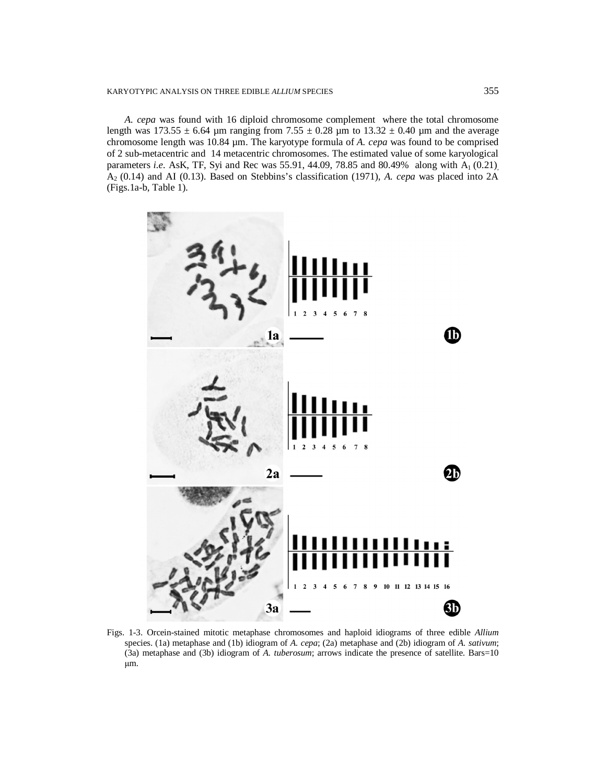# KARYOTYPIC ANALYSIS ON THREE EDIBLE *ALLIUM* SPECIES 355

*A. cepa* was found with 16 diploid chromosome complement where the total chromosome length was  $173.55 \pm 6.64$  µm ranging from  $7.55 \pm 0.28$  µm to  $13.32 \pm 0.40$  µm and the average chromosome length was 10.84 µm. The karyotype formula of *A. cepa* was found to be comprised of 2 sub-metacentric and 14 metacentric chromosomes. The estimated value of some karyological parameters *i.e.* AsK, TF, Syi and Rec was 55.91, 44.09, 78.85 and 80.49% along with A<sub>1</sub> (0.21), A2 (0.14) and AI (0.13). Based on Stebbins's classification (1971), *A. cepa* was placed into 2A (Figs.1a-b, Table 1).



Figs. 1-3. Orcein-stained mitotic metaphase chromosomes and haploid idiograms of three edible *Allium*  species. (1a) metaphase and (1b) idiogram of *A. cepa*; (2a) metaphase and (2b) idiogram of *A. sativum*; (3a) metaphase and (3b) idiogram of *A. tuberosum*; arrows indicate the presence of satellite. Bars=10 μm.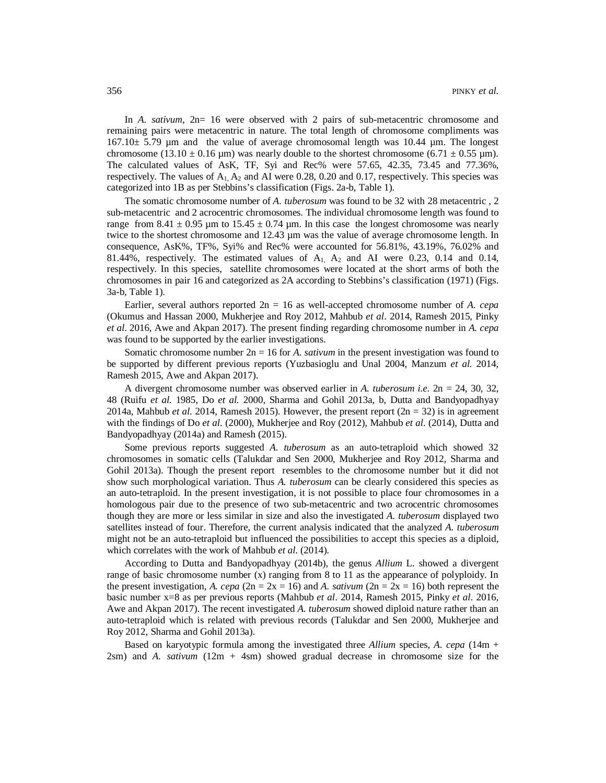In *A. sativum*,  $2n= 16$  were observed with 2 pairs of sub-metacentric chromosome and remaining pairs were metacentric in nature. The total length of chromosome compliments was  $167.10± 5.79 \mu m$  and the value of average chromosomal length was  $10.44 \mu m$ . The longest chromosome (13.10  $\pm$  0.16 µm) was nearly double to the shortest chromosome (6.71  $\pm$  0.55 µm). The calculated values of AsK, TF, Syi and Rec% were 57.65, 42.35, 73.45 and 77.36%, respectively. The values of  $A_1$ ,  $A_2$  and AI were 0.28, 0.20 and 0.17, respectively. This species was categorized into 1B as per Stebbins's classification (Figs. 2a-b, Table 1).

The somatic chromosome number of *A. tuberosum* was found to be 32 with 28 metacentric , 2 sub-metacentric and 2 acrocentric chromosomes. The individual chromosome length was found to range from 8.41  $\pm$  0.95 µm to 15.45  $\pm$  0.74 µm. In this case the longest chromosome was nearly twice to the shortest chromosome and 12.43  $\mu$ m was the value of average chromosome length. In consequence, AsK%, TF%, Syi% and Rec% were accounted for 56.81%, 43.19%, 76.02% and 81.44%, respectively. The estimated values of  $A_1$ ,  $A_2$  and AI were 0.23, 0.14 and 0.14, respectively. In this species, satellite chromosomes were located at the short arms of both the chromosomes in pair 16 and categorized as 2A according to Stebbins's classification (1971) (Figs. 3a-b, Table 1).

Earlier, several authors reported 2n = 16 as well-accepted chromosome number of *A. cepa*  (Okumus and Hassan 2000, Mukherjee and Roy 2012, Mahbub *et al*. 2014, Ramesh 2015, Pinky *et al*. 2016, Awe and Akpan 2017). The present finding regarding chromosome number in *A. cepa*  was found to be supported by the earlier investigations.

Somatic chromosome number 2n = 16 for *A. sativum* in the present investigation was found to be supported by different previous reports (Yuzbasioglu and Unal 2004, Manzum *et al.* 2014, Ramesh 2015, Awe and Akpan 2017).

A divergent chromosome number was observed earlier in *A. tuberosum i.e.* 2n = 24, 30, 32, 48 (Ruifu *et al.* 1985, Do *et al.* 2000, Sharma and Gohil 2013a, b, Dutta and Bandyopadhyay 2014a, Mahbub *et al.* 2014, Ramesh 2015). However, the present report  $(2n = 32)$  is in agreement with the findings of Do *et al.* (2000), Mukherjee and Roy (2012), Mahbub *et al*. (2014), Dutta and Bandyopadhyay (2014a) and Ramesh (2015).

Some previous reports suggested *A. tuberosum* as an auto-tetraploid which showed 32 chromosomes in somatic cells (Talukdar and Sen 2000, Mukherjee and Roy 2012, Sharma and Gohil 2013a). Though the present report resembles to the chromosome number but it did not show such morphological variation. Thus *A. tuberosum* can be clearly considered this species as an auto-tetraploid. In the present investigation, it is not possible to place four chromosomes in a homologous pair due to the presence of two sub-metacentric and two acrocentric chromosomes though they are more or less similar in size and also the investigated *A. tuberosum* displayed two satellites instead of four. Therefore, the current analysis indicated that the analyzed *A. tuberosum*  might not be an auto-tetraploid but influenced the possibilities to accept this species as a diploid, which correlates with the work of Mahbub *et al*. (2014).

According to Dutta and Bandyopadhyay (2014b), the genus *Allium* L. showed a divergent range of basic chromosome number (x) ranging from 8 to 11 as the appearance of polyploidy. In the present investigation, *A. cepa* ( $2n = 2x = 16$ ) and *A. sativum* ( $2n = 2x = 16$ ) both represent the basic number x=8 as per previous reports (Mahbub *et al*. 2014, Ramesh 2015, Pinky *et al*. 2016, Awe and Akpan 2017). The recent investigated *A. tuberosum* showed diploid nature rather than an auto-tetraploid which is related with previous records (Talukdar and Sen 2000, Mukherjee and Roy 2012, Sharma and Gohil 2013a).

Based on karyotypic formula among the investigated three *Allium* species, *A. cepa* (14m +  $2\text{sm}$ ) and *A. sativum*  $(12\text{m} + 4\text{sm})$  showed gradual decrease in chromosome size for the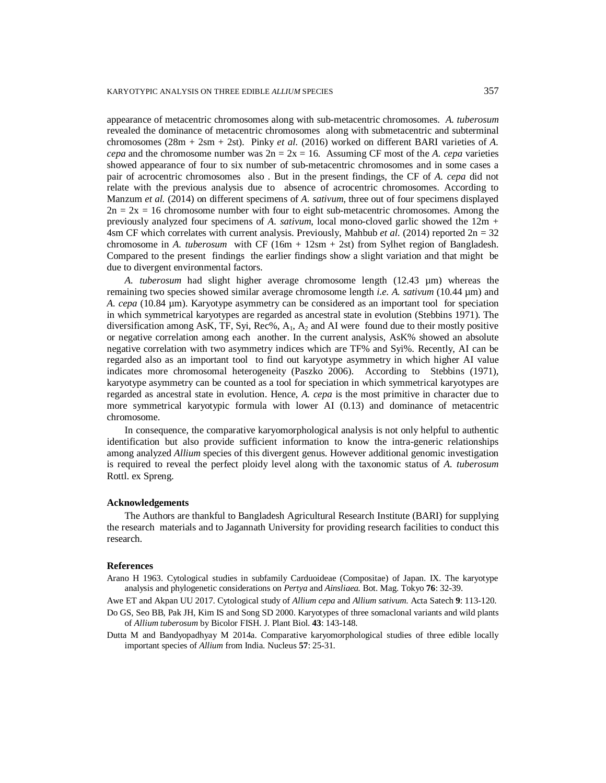appearance of metacentric chromosomes along with sub-metacentric chromosomes. *A. tuberosum*  revealed the dominance of metacentric chromosomes along with submetacentric and subterminal chromosomes  $(28m + 2sm + 2st)$ . Pinky *et al.* (2016) worked on different BARI varieties of *A*. *cepa* and the chromosome number was  $2n = 2x = 16$ . Assuming CF most of the *A. cepa* varieties showed appearance of four to six number of sub-metacentric chromosomes and in some cases a pair of acrocentric chromosomes also . But in the present findings, the CF of *A. cepa* did not relate with the previous analysis due to absence of acrocentric chromosomes. According to Manzum *et al.* (2014) on different specimens of *A. sativum*, three out of four specimens displayed  $2n = 2x = 16$  chromosome number with four to eight sub-metacentric chromosomes. Among the previously analyzed four specimens of *A. sativum*, local mono-cloved garlic showed the 12m + 4sm CF which correlates with current analysis. Previously, Mahbub *et al.* (2014) reported  $2n = 32$ chromosome in *A. tuberosum* with CF (16m + 12sm + 2st) from Sylhet region of Bangladesh. Compared to the present findings the earlier findings show a slight variation and that might be due to divergent environmental factors.

*A. tuberosum* had slight higher average chromosome length (12.43 µm) whereas the remaining two species showed similar average chromosome length *i.e. A. sativum* (10.44 µm) and *A. cepa* (10.84 µm). Karyotype asymmetry can be considered as an important tool for speciation in which symmetrical karyotypes are regarded as ancestral state in evolution (Stebbins 1971). The diversification among AsK, TF, Syi, Rec%,  $A_1$ ,  $A_2$  and AI were found due to their mostly positive or negative correlation among each another. In the current analysis, AsK% showed an absolute negative correlation with two asymmetry indices which are TF% and Syi%. Recently, AI can be regarded also as an important tool to find out karyotype asymmetry in which higher AI value indicates more chromosomal heterogeneity (Paszko 2006). According to Stebbins (1971), karyotype asymmetry can be counted as a tool for speciation in which symmetrical karyotypes are regarded as ancestral state in evolution. Hence, *A. cepa* is the most primitive in character due to more symmetrical karyotypic formula with lower AI (0.13) and dominance of metacentric chromosome.

In consequence, the comparative karyomorphological analysis is not only helpful to authentic identification but also provide sufficient information to know the intra-generic relationships among analyzed *Allium* species of this divergent genus. However additional genomic investigation is required to reveal the perfect ploidy level along with the taxonomic status of *A. tuberosum*  Rottl. ex Spreng.

#### **Acknowledgements**

The Authors are thankful to Bangladesh Agricultural Research Institute (BARI) for supplying the research materials and to Jagannath University for providing research facilities to conduct this research.

#### **References**

Arano H 1963. Cytological studies in subfamily Carduoideae (Compositae) of Japan. IX. The karyotype analysis and phylogenetic considerations on *Pertya* and *Ainsliaea.* Bot. Mag. Tokyo **76**: 32-39.

Awe ET and Akpan UU 2017. Cytological study of *Allium cepa* and *Allium sativum*. Acta Satech **9**: 113-120.

- Do GS, Seo BB, Pak JH, Kim IS and Song SD 2000. Karyotypes of three somaclonal variants and wild plants of *Allium tuberosum* by Bicolor FISH. J. Plant Biol. **43**: 143-148.
- Dutta M and Bandyopadhyay M 2014a. Comparative karyomorphological studies of three edible locally important species of *Allium* from India. Nucleus **57**: 25-31.